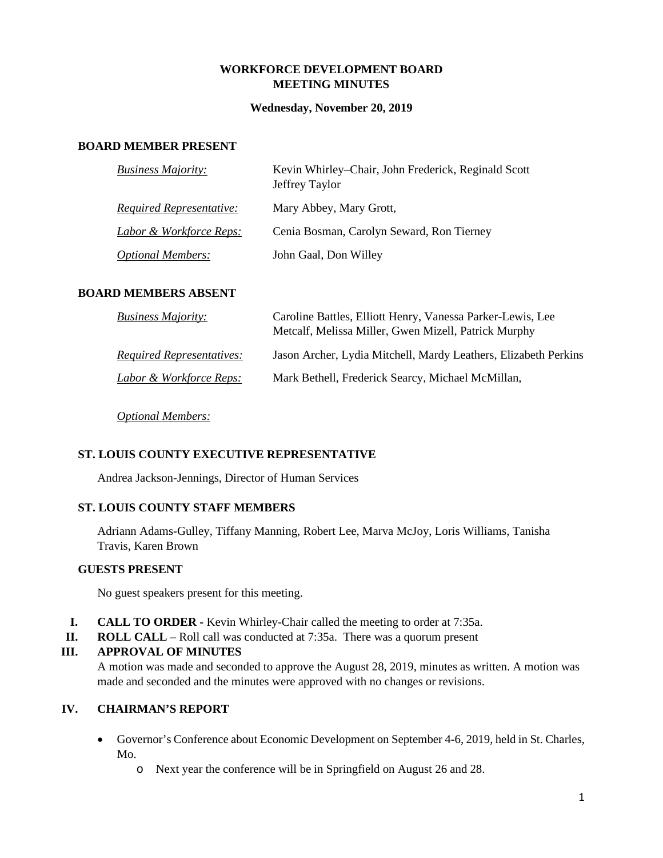#### **WORKFORCE DEVELOPMENT BOARD MEETING MINUTES**

#### **Wednesday, November 20, 2019**

## **BOARD MEMBER PRESENT**

| <b>Business Majority:</b>       | Kevin Whirley-Chair, John Frederick, Reginald Scott<br>Jeffrey Taylor |
|---------------------------------|-----------------------------------------------------------------------|
| <b>Required Representative:</b> | Mary Abbey, Mary Grott,                                               |
| Labor & Workforce Reps:         | Cenia Bosman, Carolyn Seward, Ron Tierney                             |
| <b>Optional Members:</b>        | John Gaal, Don Willey                                                 |

## **BOARD MEMBERS ABSENT**

| <b>Business Majority:</b>        | Caroline Battles, Elliott Henry, Vanessa Parker-Lewis, Lee<br>Metcalf, Melissa Miller, Gwen Mizell, Patrick Murphy |
|----------------------------------|--------------------------------------------------------------------------------------------------------------------|
| <i>Required Representatives:</i> | Jason Archer, Lydia Mitchell, Mardy Leathers, Elizabeth Perkins                                                    |
| Labor & Workforce Reps:          | Mark Bethell, Frederick Searcy, Michael McMillan,                                                                  |

*Optional Members:*

## **ST. LOUIS COUNTY EXECUTIVE REPRESENTATIVE**

Andrea Jackson-Jennings, Director of Human Services

## **ST. LOUIS COUNTY STAFF MEMBERS**

Adriann Adams-Gulley, Tiffany Manning, Robert Lee, Marva McJoy, Loris Williams, Tanisha Travis, Karen Brown

#### **GUESTS PRESENT**

No guest speakers present for this meeting.

- **I. CALL TO ORDER -** Kevin Whirley-Chair called the meeting to order at 7:35a.
- **II. ROLL CALL**  Roll call was conducted at 7:35a. There was a quorum present

#### **III. APPROVAL OF MINUTES**

A motion was made and seconded to approve the August 28, 2019, minutes as written. A motion was made and seconded and the minutes were approved with no changes or revisions.

# **IV. CHAIRMAN'S REPORT**

- Governor's Conference about Economic Development on September 4-6, 2019, held in St. Charles, Mo.
	- o Next year the conference will be in Springfield on August 26 and 28.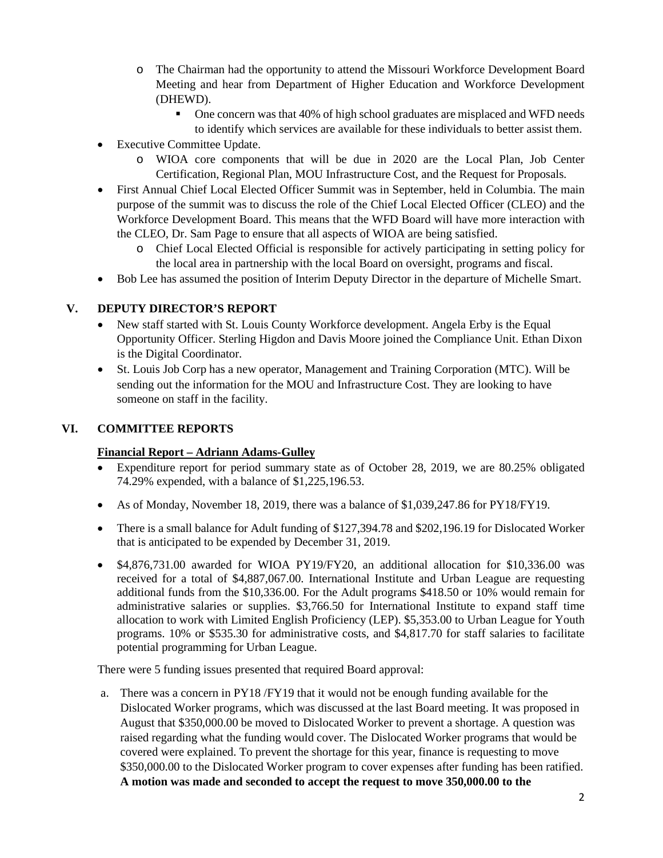- o The Chairman had the opportunity to attend the Missouri Workforce Development Board Meeting and hear from Department of Higher Education and Workforce Development (DHEWD).
	- One concern was that 40% of high school graduates are misplaced and WFD needs to identify which services are available for these individuals to better assist them.
- Executive Committee Update.
	- o WIOA core components that will be due in 2020 are the Local Plan, Job Center Certification, Regional Plan, MOU Infrastructure Cost, and the Request for Proposals.
- First Annual Chief Local Elected Officer Summit was in September, held in Columbia. The main purpose of the summit was to discuss the role of the Chief Local Elected Officer (CLEO) and the Workforce Development Board. This means that the WFD Board will have more interaction with the CLEO, Dr. Sam Page to ensure that all aspects of WIOA are being satisfied.
	- o Chief Local Elected Official is responsible for actively participating in setting policy for the local area in partnership with the local Board on oversight, programs and fiscal.
- Bob Lee has assumed the position of Interim Deputy Director in the departure of Michelle Smart.

## **V. DEPUTY DIRECTOR'S REPORT**

- New staff started with St. Louis County Workforce development. Angela Erby is the Equal Opportunity Officer. Sterling Higdon and Davis Moore joined the Compliance Unit. Ethan Dixon is the Digital Coordinator.
- St. Louis Job Corp has a new operator, Management and Training Corporation (MTC). Will be sending out the information for the MOU and Infrastructure Cost. They are looking to have someone on staff in the facility.

## **VI. COMMITTEE REPORTS**

#### **Financial Report – Adriann Adams-Gulley**

- Expenditure report for period summary state as of October 28, 2019, we are 80.25% obligated 74.29% expended, with a balance of \$1,225,196.53.
- As of Monday, November 18, 2019, there was a balance of \$1,039,247.86 for PY18/FY19.
- There is a small balance for Adult funding of \$127,394.78 and \$202,196.19 for Dislocated Worker that is anticipated to be expended by December 31, 2019.
- \$4,876,731.00 awarded for WIOA PY19/FY20, an additional allocation for \$10,336.00 was received for a total of \$4,887,067.00. International Institute and Urban League are requesting additional funds from the \$10,336.00. For the Adult programs \$418.50 or 10% would remain for administrative salaries or supplies. \$3,766.50 for International Institute to expand staff time allocation to work with Limited English Proficiency (LEP). \$5,353.00 to Urban League for Youth programs. 10% or \$535.30 for administrative costs, and \$4,817.70 for staff salaries to facilitate potential programming for Urban League.

There were 5 funding issues presented that required Board approval:

a. There was a concern in PY18 /FY19 that it would not be enough funding available for the Dislocated Worker programs, which was discussed at the last Board meeting. It was proposed in August that \$350,000.00 be moved to Dislocated Worker to prevent a shortage. A question was raised regarding what the funding would cover. The Dislocated Worker programs that would be covered were explained. To prevent the shortage for this year, finance is requesting to move \$350,000.00 to the Dislocated Worker program to cover expenses after funding has been ratified. **A motion was made and seconded to accept the request to move 350,000.00 to the**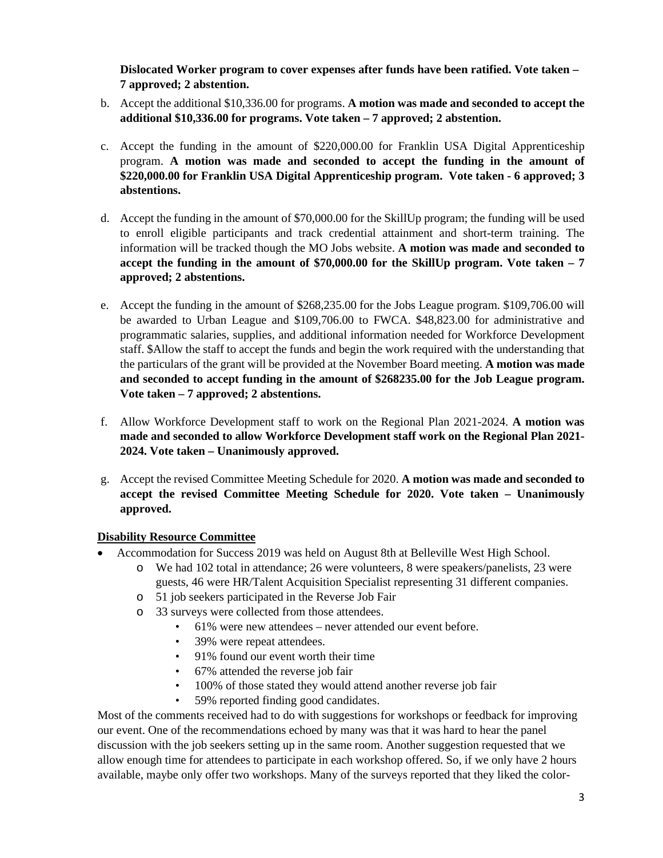**Dislocated Worker program to cover expenses after funds have been ratified. Vote taken – 7 approved; 2 abstention.**

- b. Accept the additional \$10,336.00 for programs. **A motion was made and seconded to accept the additional \$10,336.00 for programs. Vote taken – 7 approved; 2 abstention.**
- c. Accept the funding in the amount of \$220,000.00 for Franklin USA Digital Apprenticeship program. **A motion was made and seconded to accept the funding in the amount of \$220,000.00 for Franklin USA Digital Apprenticeship program. Vote taken - 6 approved; 3 abstentions.**
- d. Accept the funding in the amount of \$70,000.00 for the SkillUp program; the funding will be used to enroll eligible participants and track credential attainment and short-term training. The information will be tracked though the MO Jobs website. **A motion was made and seconded to accept the funding in the amount of \$70,000.00 for the SkillUp program. Vote taken – 7 approved; 2 abstentions.**
- e. Accept the funding in the amount of \$268,235.00 for the Jobs League program. \$109,706.00 will be awarded to Urban League and \$109,706.00 to FWCA. \$48,823.00 for administrative and programmatic salaries, supplies, and additional information needed for Workforce Development staff. \$Allow the staff to accept the funds and begin the work required with the understanding that the particulars of the grant will be provided at the November Board meeting. **A motion was made and seconded to accept funding in the amount of \$268235.00 for the Job League program. Vote taken – 7 approved; 2 abstentions.**
- f. Allow Workforce Development staff to work on the Regional Plan 2021-2024. **A motion was made and seconded to allow Workforce Development staff work on the Regional Plan 2021- 2024. Vote taken – Unanimously approved.**
- g. Accept the revised Committee Meeting Schedule for 2020. **A motion was made and seconded to accept the revised Committee Meeting Schedule for 2020. Vote taken – Unanimously approved.**

# **Disability Resource Committee**

- Accommodation for Success 2019 was held on August 8th at Belleville West High School.
	- o We had 102 total in attendance; 26 were volunteers, 8 were speakers/panelists, 23 were guests, 46 were HR/Talent Acquisition Specialist representing 31 different companies.
	- o 51 job seekers participated in the Reverse Job Fair
	- o 33 surveys were collected from those attendees.
		- 61% were new attendees never attended our event before.
		- 39% were repeat attendees.
		- 91% found our event worth their time
		- 67% attended the reverse job fair
		- 100% of those stated they would attend another reverse job fair
		- 59% reported finding good candidates.

Most of the comments received had to do with suggestions for workshops or feedback for improving our event. One of the recommendations echoed by many was that it was hard to hear the panel discussion with the job seekers setting up in the same room. Another suggestion requested that we allow enough time for attendees to participate in each workshop offered. So, if we only have 2 hours available, maybe only offer two workshops. Many of the surveys reported that they liked the color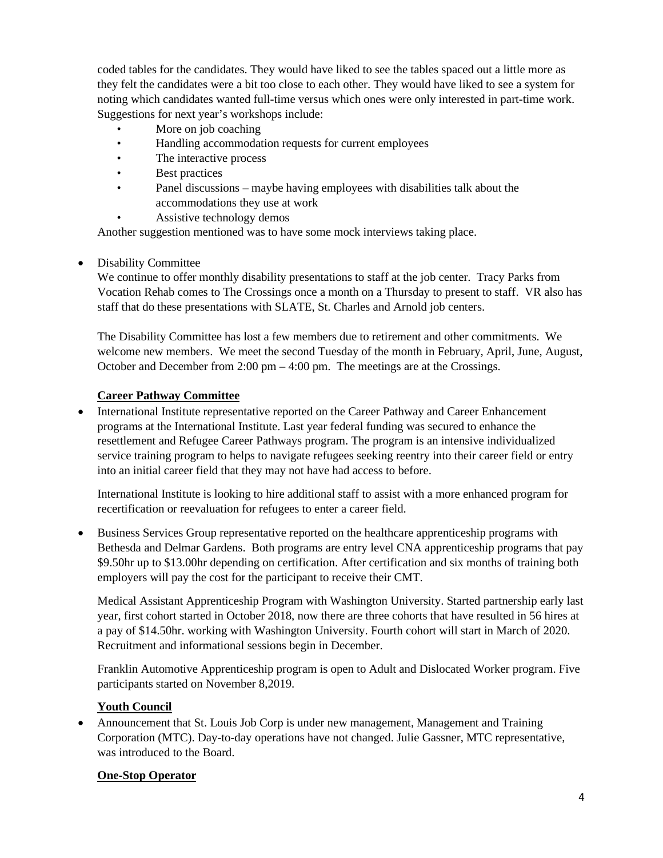coded tables for the candidates. They would have liked to see the tables spaced out a little more as they felt the candidates were a bit too close to each other. They would have liked to see a system for noting which candidates wanted full-time versus which ones were only interested in part-time work. Suggestions for next year's workshops include:

- More on job coaching
- Handling accommodation requests for current employees
- The interactive process
- Best practices
- Panel discussions maybe having employees with disabilities talk about the accommodations they use at work
- Assistive technology demos

Another suggestion mentioned was to have some mock interviews taking place.

# • Disability Committee

We continue to offer monthly disability presentations to staff at the job center. Tracy Parks from Vocation Rehab comes to The Crossings once a month on a Thursday to present to staff. VR also has staff that do these presentations with SLATE, St. Charles and Arnold job centers.

The Disability Committee has lost a few members due to retirement and other commitments. We welcome new members. We meet the second Tuesday of the month in February, April, June, August, October and December from 2:00 pm – 4:00 pm. The meetings are at the Crossings.

# **Career Pathway Committee**

• International Institute representative reported on the Career Pathway and Career Enhancement programs at the International Institute. Last year federal funding was secured to enhance the resettlement and Refugee Career Pathways program. The program is an intensive individualized service training program to helps to navigate refugees seeking reentry into their career field or entry into an initial career field that they may not have had access to before.

International Institute is looking to hire additional staff to assist with a more enhanced program for recertification or reevaluation for refugees to enter a career field.

• Business Services Group representative reported on the healthcare apprenticeship programs with Bethesda and Delmar Gardens. Both programs are entry level CNA apprenticeship programs that pay \$9.50hr up to \$13.00hr depending on certification. After certification and six months of training both employers will pay the cost for the participant to receive their CMT.

Medical Assistant Apprenticeship Program with Washington University. Started partnership early last year, first cohort started in October 2018, now there are three cohorts that have resulted in 56 hires at a pay of \$14.50hr. working with Washington University. Fourth cohort will start in March of 2020. Recruitment and informational sessions begin in December.

Franklin Automotive Apprenticeship program is open to Adult and Dislocated Worker program. Five participants started on November 8,2019.

# **Youth Council**

• Announcement that St. Louis Job Corp is under new management, Management and Training Corporation (MTC). Day-to-day operations have not changed. Julie Gassner, MTC representative, was introduced to the Board.

#### **One-Stop Operator**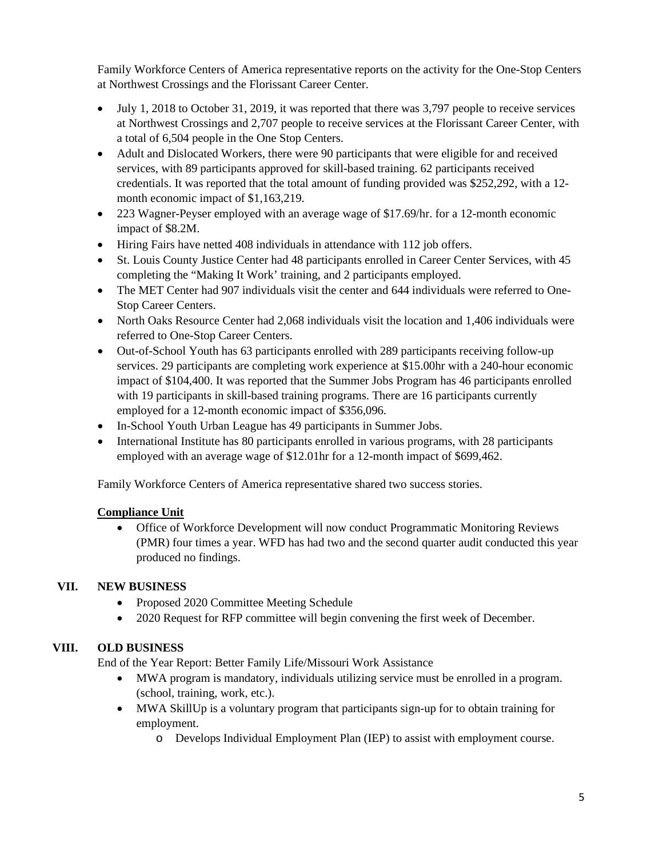Family Workforce Centers of America representative reports on the activity for the One-Stop Centers at Northwest Crossings and the Florissant Career Center.

- July 1, 2018 to October 31, 2019, it was reported that there was 3,797 people to receive services at Northwest Crossings and 2,707 people to receive services at the Florissant Career Center, with a total of 6,504 people in the One Stop Centers.
- Adult and Dislocated Workers, there were 90 participants that were eligible for and received services, with 89 participants approved for skill-based training. 62 participants received credentials. It was reported that the total amount of funding provided was \$252,292, with a 12 month economic impact of \$1,163,219.
- 223 Wagner-Peyser employed with an average wage of \$17.69/hr. for a 12-month economic impact of \$8.2M.
- Hiring Fairs have netted 408 individuals in attendance with 112 job offers.
- St. Louis County Justice Center had 48 participants enrolled in Career Center Services, with 45 completing the "Making It Work' training, and 2 participants employed.
- The MET Center had 907 individuals visit the center and 644 individuals were referred to One-Stop Career Centers.
- North Oaks Resource Center had 2,068 individuals visit the location and 1,406 individuals were referred to One-Stop Career Centers.
- Out-of-School Youth has 63 participants enrolled with 289 participants receiving follow-up services. 29 participants are completing work experience at \$15.00hr with a 240-hour economic impact of \$104,400. It was reported that the Summer Jobs Program has 46 participants enrolled with 19 participants in skill-based training programs. There are 16 participants currently employed for a 12-month economic impact of \$356,096.
- In-School Youth Urban League has 49 participants in Summer Jobs.
- International Institute has 80 participants enrolled in various programs, with 28 participants employed with an average wage of \$12.01hr for a 12-month impact of \$699,462.

Family Workforce Centers of America representative shared two success stories.

# **Compliance Unit**

• Office of Workforce Development will now conduct Programmatic Monitoring Reviews (PMR) four times a year. WFD has had two and the second quarter audit conducted this year produced no findings.

# **VII. NEW BUSINESS**

- Proposed 2020 Committee Meeting Schedule
- 2020 Request for RFP committee will begin convening the first week of December.

# **VIII. OLD BUSINESS**

End of the Year Report: Better Family Life/Missouri Work Assistance

- MWA program is mandatory, individuals utilizing service must be enrolled in a program. (school, training, work, etc.).
- MWA SkillUp is a voluntary program that participants sign-up for to obtain training for employment.
	- o Develops Individual Employment Plan (IEP) to assist with employment course.